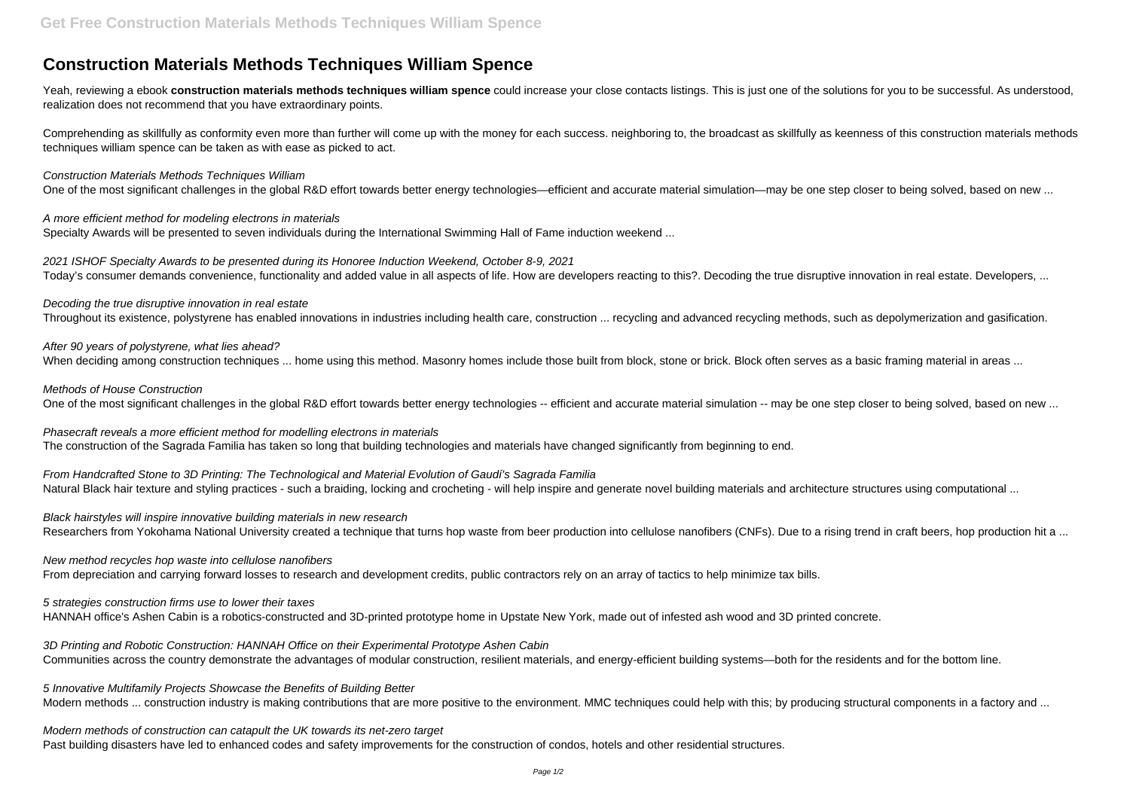# **Construction Materials Methods Techniques William Spence**

Yeah, reviewing a ebook **construction materials methods techniques william spence** could increase your close contacts listings. This is just one of the solutions for you to be successful. As understood, realization does not recommend that you have extraordinary points.

Comprehending as skillfully as conformity even more than further will come up with the money for each success. neighboring to, the broadcast as skillfully as keenness of this construction materials methods techniques william spence can be taken as with ease as picked to act.

Construction Materials Methods Techniques William

One of the most significant challenges in the global R&D effort towards better energy technologies—efficient and accurate material simulation—may be one step closer to being solved, based on new ...

After 90 years of polystyrene, what lies ahead? When deciding among construction techniques ... home using this method. Masonry homes include those built from block, stone or brick. Block often serves as a basic framing material in areas ...

A more efficient method for modeling electrons in materials Specialty Awards will be presented to seven individuals during the International Swimming Hall of Fame induction weekend ...

From Handcrafted Stone to 3D Printing: The Technological and Material Evolution of Gaudí's Sagrada Familia Natural Black hair texture and styling practices - such a braiding, locking and crocheting - will help inspire and generate novel building materials and architecture structures using computational ...

2021 ISHOF Specialty Awards to be presented during its Honoree Induction Weekend, October 8-9, 2021 Today's consumer demands convenience, functionality and added value in all aspects of life. How are developers reacting to this?. Decoding the true disruptive innovation in real estate. Developers, ...

Black hairstyles will inspire innovative building materials in new research Researchers from Yokohama National University created a technique that turns hop waste from beer production into cellulose nanofibers (CNFs). Due to a rising trend in craft beers, hop production hit a ...

Decoding the true disruptive innovation in real estate

Throughout its existence, polystyrene has enabled innovations in industries including health care, construction ... recycling and advanced recycling methods, such as depolymerization and gasification.

5 Innovative Multifamily Projects Showcase the Benefits of Building Better Modern methods ... construction industry is making contributions that are more positive to the environment. MMC techniques could help with this; by producing structural components in a factory and ...

Methods of House Construction

One of the most significant challenges in the global R&D effort towards better energy technologies -- efficient and accurate material simulation -- may be one step closer to being solved, based on new ...

Phasecraft reveals a more efficient method for modelling electrons in materials The construction of the Sagrada Familia has taken so long that building technologies and materials have changed significantly from beginning to end.

New method recycles hop waste into cellulose nanofibers From depreciation and carrying forward losses to research and development credits, public contractors rely on an array of tactics to help minimize tax bills.

5 strategies construction firms use to lower their taxes

HANNAH office's Ashen Cabin is a robotics-constructed and 3D-printed prototype home in Upstate New York, made out of infested ash wood and 3D printed concrete.

3D Printing and Robotic Construction: HANNAH Office on their Experimental Prototype Ashen Cabin Communities across the country demonstrate the advantages of modular construction, resilient materials, and energy-efficient building systems—both for the residents and for the bottom line.

Modern methods of construction can catapult the UK towards its net-zero target Past building disasters have led to enhanced codes and safety improvements for the construction of condos, hotels and other residential structures.